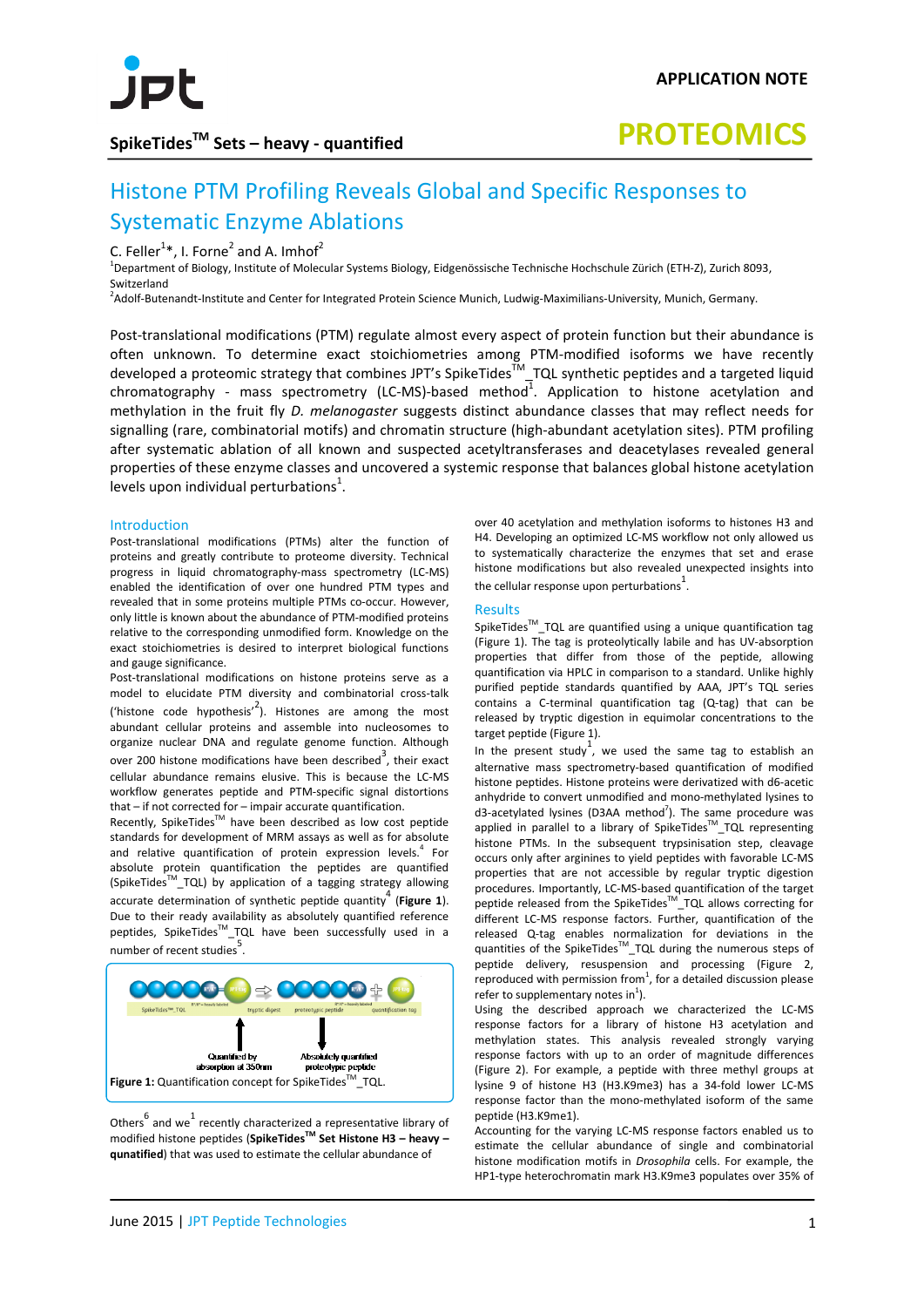

## **SpikeTidesTM Sets – heavy - quantified**

# **PROTEOMICS**

# Histone PTM Profiling Reveals Global and Specific Responses to Systematic Enzyme Ablations

C. Feller<sup>1\*</sup>, I. Forne<sup>2</sup> and A. Imhof<sup>2</sup>

 $^1$ Department of Biology, Institute of Molecular Systems Biology, Eidgenössische Technische Hochschule Zürich (ETH-Z), Zurich 8093, Switzerland

<sup>2</sup>Adolf-Butenandt-Institute and Center for Integrated Protein Science Munich, Ludwig-Maximilians-University, Munich, Germany.

Post-translational modifications (PTM) regulate almost every aspect of protein function but their abundance is often unknown. To determine exact stoichiometries among PTM-modified isoforms we have recently developed a proteomic strategy that combines JPT's SpikeTides<sup>™</sup>\_TQL synthetic peptides and a targeted liquid chromatography - mass spectrometry (LC-MS)-based method<sup>1</sup>. Application to histone acetylation and methylation in the fruit fly *D. melanogaster* suggests distinct abundance classes that may reflect needs for signalling (rare, combinatorial motifs) and chromatin structure (high-abundant acetylation sites). PTM profiling after systematic ablation of all known and suspected acetyltransferases and deacetylases revealed general properties of these enzyme classes and uncovered a systemic response that balances global histone acetylation levels upon individual perturbations<sup>1</sup>.

#### Introduction

Post-translational modifications (PTMs) alter the function of proteins and greatly contribute to proteome diversity. Technical progress in liquid chromatography-mass spectrometry (LC-MS) enabled the identification of over one hundred PTM types and revealed that in some proteins multiple PTMs co-occur. However, only little is known about the abundance of PTM-modified proteins relative to the corresponding unmodified form. Knowledge on the exact stoichiometries is desired to interpret biological functions and gauge significance.

Post-translational modifications on histone proteins serve as a model to elucidate PTM diversity and combinatorial cross-talk ('histone code hypothesis'<sup>2</sup>). Histones are among the most abundant cellular proteins and assemble into nucleosomes to organize nuclear DNA and regulate genome function. Although over 200 histone modifications have been described<sup>3</sup>, their exact cellular abundance remains elusive. This is because the LC-MS workflow generates peptide and PTM-specific signal distortions that – if not corrected for – impair accurate quantification.

Recently, SpikeTides<sup>™</sup> have been described as low cost peptide standards for development of MRM assays as well as for absolute and relative quantification of protein expression levels. <sup>4</sup> For absolute protein quantification the peptides are quantified (SpikeTides<sup>™</sup>\_TQL) by application of a tagging strategy allowing accurate determination of synthetic peptide quantity<sup>4</sup> (Figure 1). Due to their ready availability as absolutely quantified reference peptides, SpikeTidesTM\_TQL have been successfully used in a number of recent studies<sup>5</sup>.



Others $6 \text{ and we}$  recently characterized a representative library of modified histone peptides (**SpikeTidesTM Set Histone H3 – heavy – qunatified**) that was used to estimate the cellular abundance of

over 40 acetylation and methylation isoforms to histones H3 and H4. Developing an optimized LC-MS workflow not only allowed us to systematically characterize the enzymes that set and erase histone modifications but also revealed unexpected insights into the cellular response upon perturbations<sup>1</sup>.

### Results

SpikeTides<sup>™</sup>\_TQL are quantified using a unique quantification tag (Figure 1). The tag is proteolytically labile and has UV-absorption properties that differ from those of the peptide, allowing quantification via HPLC in comparison to a standard. Unlike highly purified peptide standards quantified by AAA, JPT's TQL series contains a C-terminal quantification tag (Q-tag) that can be released by tryptic digestion in equimolar concentrations to the target peptide (Figure 1).

In the present study<sup>1</sup>, we used the same tag to establish an alternative mass spectrometry-based quantification of modified histone peptides. Histone proteins were derivatized with d6-acetic anhydride to convert unmodified and mono-methylated lysines to  $d3$ -acetylated lysines (D3AA method<sup>7</sup>). The same procedure was applied in parallel to a library of SpikeTides<sup>™</sup>\_TQL representing histone PTMs. In the subsequent trypsinisation step, cleavage occurs only after arginines to yield peptides with favorable LC-MS properties that are not accessible by regular tryptic digestion procedures. Importantly, LC-MS-based quantification of the target peptide released from the SpikeTides<sup>™</sup>\_TQL allows correcting for different LC-MS response factors. Further, quantification of the released Q-tag enables normalization for deviations in the quantities of the SpikeTides<sup>™</sup>\_TQL during the numerous steps of peptide delivery, resuspension and processing (Figure 2, reproduced with permission from<sup>1</sup>, for a detailed discussion please refer to supplementary notes in $^1$ ).

Using the described approach we characterized the LC-MS response factors for a library of histone H3 acetylation and methylation states. This analysis revealed strongly varying response factors with up to an order of magnitude differences (Figure 2). For example, a peptide with three methyl groups at lysine 9 of histone H3 (H3.K9me3) has a 34-fold lower LC-MS response factor than the mono-methylated isoform of the same peptide (H3.K9me1).

Accounting for the varying LC-MS response factors enabled us to estimate the cellular abundance of single and combinatorial histone modification motifs in *Drosophila* cells. For example, the HP1-type heterochromatin mark H3.K9me3 populates over 35% of